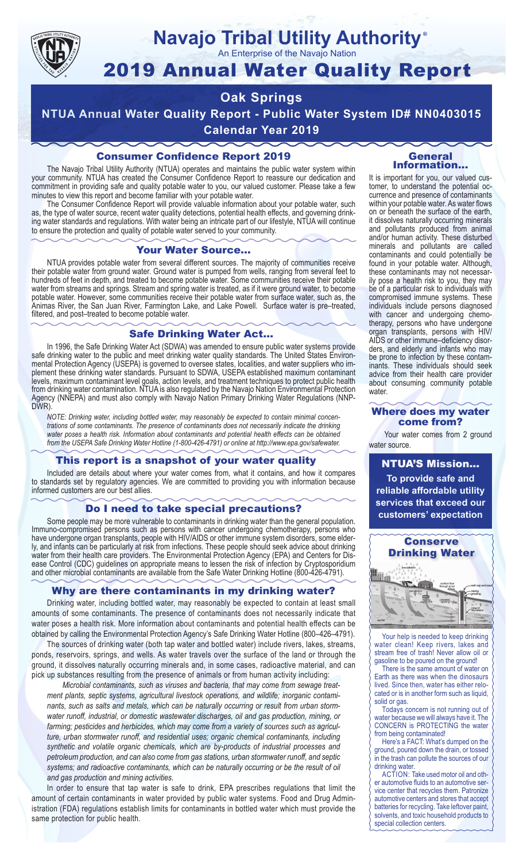

# **Navajo Tribal Utility Authority**

An Enterprise of the Navajo Nation

# 2019 Annual Water Quality Report

# **Oak Springs**

**NTUA Annual Water Quality Report - Public Water System ID# NN0403015 Calendar Year 2019**

# Consumer Confidence Report 2019

The Navajo Tribal Utility Authority (NTUA) operates and maintains the public water system within your community. NTUA has created the Consumer Confidence Report to reassure our dedication and commitment in providing safe and quality potable water to you, our valued customer. Please take a few minutes to view this report and become familiar with your potable water.

The Consumer Confidence Report will provide valuable information about your potable water, such as, the type of water source, recent water quality detections, potential health effects, and governing drinking water standards and regulations. With water being an intricate part of our lifestyle, NTUA will continue to ensure the protection and quality of potable water served to your community.

#### Your Water Source…

NTUA provides potable water from several different sources. The majority of communities receive their potable water from ground water. Ground water is pumped from wells, ranging from several feet to hundreds of feet in depth, and treated to become potable water. Some communities receive their potable water from streams and springs. Stream and spring water is treated, as if it were ground water, to become potable water. However, some communities receive their potable water from surface water, such as, the Animas River, the San Juan River, Farmington Lake, and Lake Powell. Surface water is pre–treated, filtered, and post–treated to become potable water.

#### Safe Drinking Water Act…

In 1996, the Safe Drinking Water Act (SDWA) was amended to ensure public water systems provide safe drinking water to the public and meet drinking water quality standards. The United States Environmental Protection Agency (USEPA) is governed to oversee states, localities, and water suppliers who implement these drinking water standards. Pursuant to SDWA, USEPA established maximum contaminant levels, maximum contaminant level goals, action levels, and treatment techniques to protect public health from drinking water contamination. NTUA is also regulated by the Navajo Nation Environmental Protection Agency (NNEPA) and must also comply with Navajo Nation Primary Drinking Water Regulations (NNP-DWR)

*NOTE: Drinking water, including bottled water, may reasonably be expected to contain minimal concentrations of some contaminants. The presence of contaminants does not necessarily indicate the drinking water poses a health risk. Information about contaminants and potential health effects can be obtained from the USEPA Safe Drinking Water Hotline (1-800-426-4791) or online at http://www.epa.gov/safewater.*

### This report is a snapshot of your water quality

Included are details about where your water comes from, what it contains, and how it compares to standards set by regulatory agencies. We are committed to providing you with information because informed customers are our best allies.

#### Do I need to take special precautions?

Some people may be more vulnerable to contaminants in drinking water than the general population. Immuno-compromised persons such as persons with cancer undergoing chemotherapy, persons who have undergone organ transplants, people with HIV/AIDS or other immune system disorders, some elderly, and infants can be particularly at risk from infections. These people should seek advice about drinking water from their health care providers. The Environmental Protection Agency (EPA) and Centers for Disease Control (CDC) guidelines on appropriate means to lessen the risk of infection by Cryptosporidium and other microbial contaminants are available from the Safe Water Drinking Hotline (800-426-4791).

### Why are there contaminants in my drinking water?

Drinking water, including bottled water, may reasonably be expected to contain at least small amounts of some contaminants. The presence of contaminants does not necessarily indicate that water poses a health risk. More information about contaminants and potential health effects can be obtained by calling the Environmental Protection Agency's Safe Drinking Water Hotline (800–426–4791).

The sources of drinking water (both tap water and bottled water) include rivers, lakes, streams, ponds, reservoirs, springs, and wells. As water travels over the surface of the land or through the ground, it dissolves naturally occurring minerals and, in some cases, radioactive material, and can pick up substances resulting from the presence of animals or from human activity including:

*Microbial contaminants, such as viruses and bacteria, that may come from sewage treatment plants, septic systems, agricultural livestock operations, and wildlife; inorganic contaminants, such as salts and metals, which can be naturally occurring or result from urban stormwater runoff, industrial, or domestic wastewater discharges, oil and gas production, mining, or farming; pesticides and herbicides, which may come from a variety of sources such as agriculture, urban stormwater runoff, and residential uses; organic chemical contaminants, including synthetic and volatile organic chemicals, which are by-products of industrial processes and petroleum production, and can also come from gas stations, urban stormwater runoff, and septic systems; and radioactive contaminants, which can be naturally occurring or be the result of oil and gas production and mining activities.*

In order to ensure that tap water is safe to drink, EPA prescribes regulations that limit the amount of certain contaminants in water provided by public water systems. Food and Drug Administration (FDA) regulations establish limits for contaminants in bottled water which must provide the same protection for public health.

#### General Information…

®

It is important for you, our valued customer, to understand the potential occurrence and presence of contaminants within your potable water. As water flows on or beneath the surface of the earth, it dissolves naturally occurring minerals and pollutants produced from animal and/or human activity. These disturbed minerals and pollutants are called contaminants and could potentially be found in your potable water. Although, these contaminants may not necessarily pose a health risk to you, they may be of a particular risk to individuals with compromised immune systems. These individuals include persons diagnosed with cancer and undergoing chemo-<br>therapy, persons who have undergone organ transplants, persons with HIV/ AIDS or other immune–deficiency disor- ders, and elderly and infants who may be prone to infection by these contam- inants. These individuals should seek advice from their health care provider about consuming community potable water.

#### Where does my water come from?

Your water comes from 2 ground water source.

NTUA'S Mission... **To provide safe and reliable affordable utility services that exceed our customers' expectation**



Your help is needed to keep drinking water clean! Keep rivers, lakes and stream free of trash! Never allow oil or gasoline to be poured on the ground!

There is the same amount of water on Earth as there was when the dinosaurs lived. Since then, water has either relocated or is in another form such as liquid, solid or gas.

Todays concern is not running out of water because we will always have it. The CONCERN is PROTECTING the water from being contaminated!

Here's a FACT: What's dumped on the ground, poured down the drain, or tossed in the trash can pollute the sources of our drinking water.

ACTION: Take used motor oil and other automotive fluids to an automotive service center that recycles them. Patronize automotive centers and stores that accept batteries for recycling. Take leftover paint, solvents, and toxic household products to special collection centers.